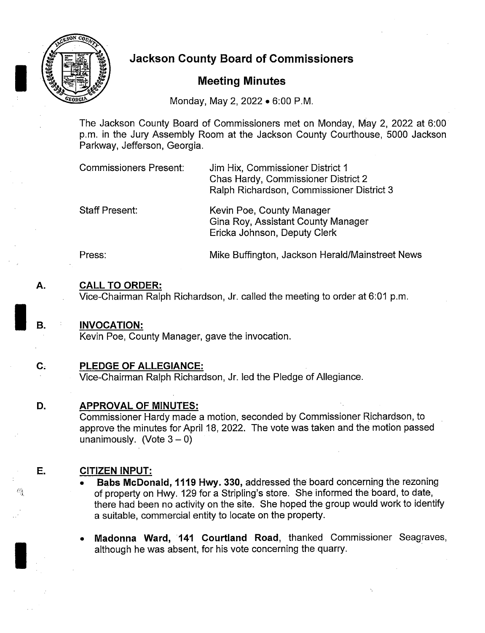

# 1Jackson County Board of Commissioners p

## Meeting Minutes

Monday, May 2, 2022 • 6:00 P.M.

The Jackson County Board of Commissioners met on Monday, May 2, 2022 at 6:00 p. m. in the Jury Assembly Room at the Jackson County Courthouse, 5000 Jackson Parkway, Jefferson, Georgia.

| <b>Commissioners Present:</b> | Jim Hix, Commissioner District 1          |
|-------------------------------|-------------------------------------------|
|                               | Chas Hardy, Commissioner District 2       |
|                               | Ralph Richardson, Commissioner District 3 |
|                               |                                           |

Staff Present: Kevin Poe, County Manager Gina Roy, Assistant County Manager Ericka Johnson, Deputy Clerk

Press: Mike Buffington, Jackson Herald/Mainstreet News

## A. CALL TO ORDER:

Vice-Chairman Ralph Richardson, Jr. called the meeting to order at 6:01 p.m.

- B. INVOCATION: Kevin Poe, County Manager, gave the invocation.
- C. PLEDGE OF ALLEGIANCE:

Vice-Chairman Ralph Richardson, Jr. led the Pledge of Allegiance.

#### D. APPROVAL OF MINUTES:

Commissioner Hardy made a motion, seconded by Commissioner Richardson, to approve the minutes for April 18, 2022. The vote was taken and the motion passed unanimously. (Vote  $3 - 0$ )

## E. CITIZEN INPUT:

- Babs McDonald, 1119 Hwy. 330, addressed the board concerning the rezoning of property on Hwy. 129 for a Stripling's store. She informed the board, to date, there had been no activity on the site. She hoped the group would work to identify a suitable, commercial entity to locate on the property.
- Madonna Ward, 141 Courtland Road, thanked Commissioner Seagraves, although he was absent, for his vote concerning the quarry.